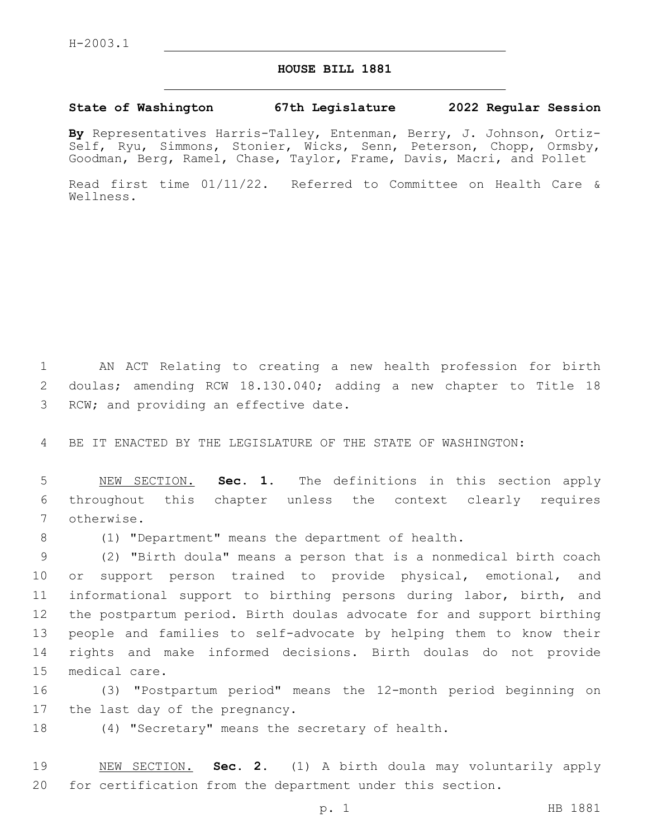## **HOUSE BILL 1881**

## **State of Washington 67th Legislature 2022 Regular Session**

**By** Representatives Harris-Talley, Entenman, Berry, J. Johnson, Ortiz-Self, Ryu, Simmons, Stonier, Wicks, Senn, Peterson, Chopp, Ormsby, Goodman, Berg, Ramel, Chase, Taylor, Frame, Davis, Macri, and Pollet

Read first time 01/11/22. Referred to Committee on Health Care & Wellness.

1 AN ACT Relating to creating a new health profession for birth 2 doulas; amending RCW 18.130.040; adding a new chapter to Title 18 3 RCW; and providing an effective date.

4 BE IT ENACTED BY THE LEGISLATURE OF THE STATE OF WASHINGTON:

5 NEW SECTION. **Sec. 1.** The definitions in this section apply 6 throughout this chapter unless the context clearly requires 7 otherwise.

8 (1) "Department" means the department of health.

 (2) "Birth doula" means a person that is a nonmedical birth coach or support person trained to provide physical, emotional, and informational support to birthing persons during labor, birth, and the postpartum period. Birth doulas advocate for and support birthing people and families to self-advocate by helping them to know their rights and make informed decisions. Birth doulas do not provide 15 medical care.

16 (3) "Postpartum period" means the 12-month period beginning on 17 the last day of the pregnancy.

18 (4) "Secretary" means the secretary of health.

19 NEW SECTION. **Sec. 2.** (1) A birth doula may voluntarily apply 20 for certification from the department under this section.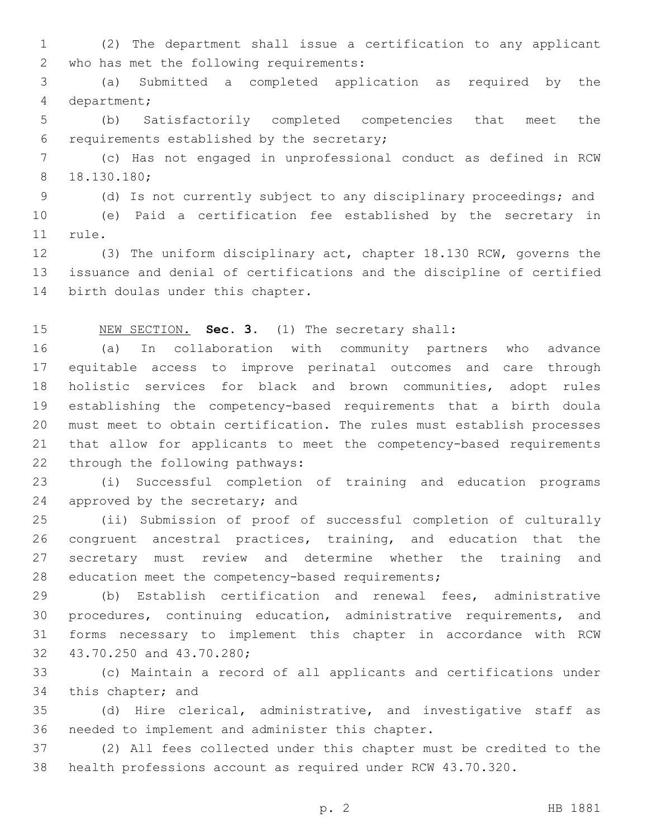(2) The department shall issue a certification to any applicant 2 who has met the following requirements:

 (a) Submitted a completed application as required by the 4 department;

 (b) Satisfactorily completed competencies that meet the 6 requirements established by the secretary;

 (c) Has not engaged in unprofessional conduct as defined in RCW 18.130.180;8

(d) Is not currently subject to any disciplinary proceedings; and

 (e) Paid a certification fee established by the secretary in 11 rule.

 (3) The uniform disciplinary act, chapter 18.130 RCW, governs the issuance and denial of certifications and the discipline of certified 14 birth doulas under this chapter.

## NEW SECTION. **Sec. 3.** (1) The secretary shall:

 (a) In collaboration with community partners who advance equitable access to improve perinatal outcomes and care through holistic services for black and brown communities, adopt rules establishing the competency-based requirements that a birth doula must meet to obtain certification. The rules must establish processes that allow for applicants to meet the competency-based requirements 22 through the following pathways:

 (i) Successful completion of training and education programs 24 approved by the secretary; and

 (ii) Submission of proof of successful completion of culturally congruent ancestral practices, training, and education that the secretary must review and determine whether the training and 28 education meet the competency-based requirements;

 (b) Establish certification and renewal fees, administrative procedures, continuing education, administrative requirements, and forms necessary to implement this chapter in accordance with RCW 32 43.70.250 and 43.70.280;

 (c) Maintain a record of all applicants and certifications under 34 this chapter; and

 (d) Hire clerical, administrative, and investigative staff as 36 needed to implement and administer this chapter.

 (2) All fees collected under this chapter must be credited to the health professions account as required under RCW 43.70.320.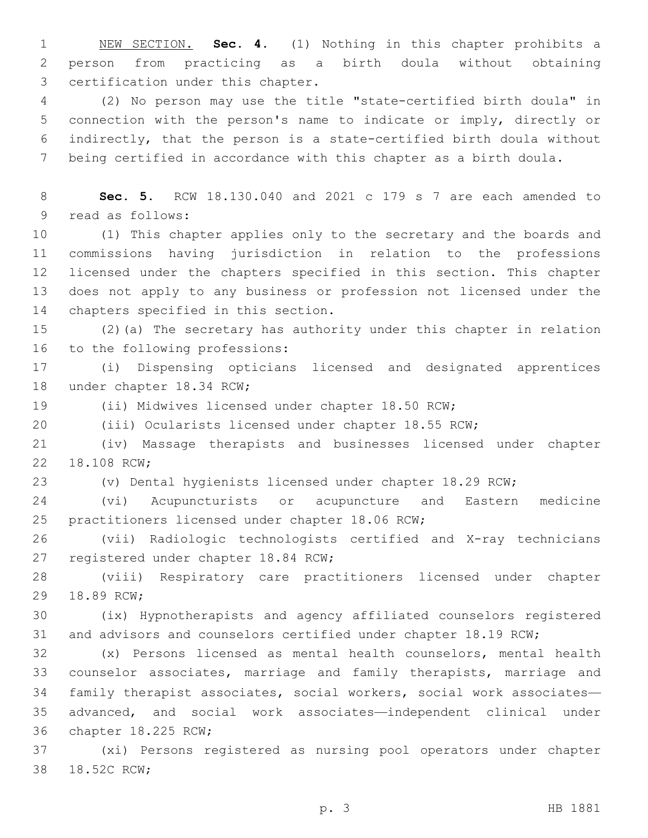NEW SECTION. **Sec. 4.** (1) Nothing in this chapter prohibits a person from practicing as a birth doula without obtaining certification under this chapter.

 (2) No person may use the title "state-certified birth doula" in connection with the person's name to indicate or imply, directly or indirectly, that the person is a state-certified birth doula without being certified in accordance with this chapter as a birth doula.

 **Sec. 5.** RCW 18.130.040 and 2021 c 179 s 7 are each amended to 9 read as follows:

 (1) This chapter applies only to the secretary and the boards and commissions having jurisdiction in relation to the professions licensed under the chapters specified in this section. This chapter does not apply to any business or profession not licensed under the 14 chapters specified in this section.

 (2)(a) The secretary has authority under this chapter in relation 16 to the following professions:

 (i) Dispensing opticians licensed and designated apprentices 18 under chapter 18.34 RCW;

(ii) Midwives licensed under chapter 18.50 RCW;

(iii) Ocularists licensed under chapter 18.55 RCW;

 (iv) Massage therapists and businesses licensed under chapter 22 18.108 RCW;

(v) Dental hygienists licensed under chapter 18.29 RCW;

 (vi) Acupuncturists or acupuncture and Eastern medicine 25 practitioners licensed under chapter 18.06 RCW;

 (vii) Radiologic technologists certified and X-ray technicians 27 registered under chapter 18.84 RCW;

 (viii) Respiratory care practitioners licensed under chapter 29 18.89 RCW;

 (ix) Hypnotherapists and agency affiliated counselors registered and advisors and counselors certified under chapter 18.19 RCW;

 (x) Persons licensed as mental health counselors, mental health counselor associates, marriage and family therapists, marriage and family therapist associates, social workers, social work associates— advanced, and social work associates—independent clinical under 36 chapter 18.225 RCW;

 (xi) Persons registered as nursing pool operators under chapter 38 18.52C RCW;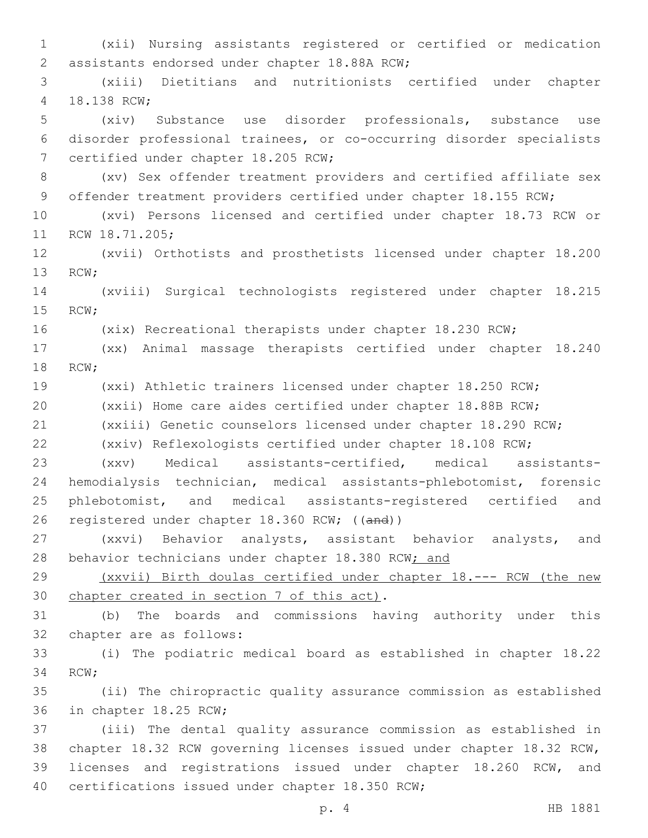(xii) Nursing assistants registered or certified or medication 2 assistants endorsed under chapter 18.88A RCW; (xiii) Dietitians and nutritionists certified under chapter 4 18.138 RCW; (xiv) Substance use disorder professionals, substance use disorder professional trainees, or co-occurring disorder specialists 7 certified under chapter 18.205 RCW; (xv) Sex offender treatment providers and certified affiliate sex 9 offender treatment providers certified under chapter 18.155 RCW; (xvi) Persons licensed and certified under chapter 18.73 RCW or 11 RCW 18.71.205; (xvii) Orthotists and prosthetists licensed under chapter 18.200 13 RCW; (xviii) Surgical technologists registered under chapter 18.215 15 RCW; (xix) Recreational therapists under chapter 18.230 RCW; (xx) Animal massage therapists certified under chapter 18.240 18 RCW; (xxi) Athletic trainers licensed under chapter 18.250 RCW; (xxii) Home care aides certified under chapter 18.88B RCW; (xxiii) Genetic counselors licensed under chapter 18.290 RCW; (xxiv) Reflexologists certified under chapter 18.108 RCW; (xxv) Medical assistants-certified, medical assistants- hemodialysis technician, medical assistants-phlebotomist, forensic phlebotomist, and medical assistants-registered certified and registered under chapter 18.360 RCW; ((and)) (xxvi) Behavior analysts, assistant behavior analysts, and 28 behavior technicians under chapter 18.380 RCW; and (xxvii) Birth doulas certified under chapter 18.--- RCW (the new 30 chapter created in section 7 of this act). (b) The boards and commissions having authority under this 32 chapter are as follows: (i) The podiatric medical board as established in chapter 18.22 34 RCW; (ii) The chiropractic quality assurance commission as established 36 in chapter 18.25 RCW; (iii) The dental quality assurance commission as established in chapter 18.32 RCW governing licenses issued under chapter 18.32 RCW, licenses and registrations issued under chapter 18.260 RCW, and 40 certifications issued under chapter 18.350 RCW;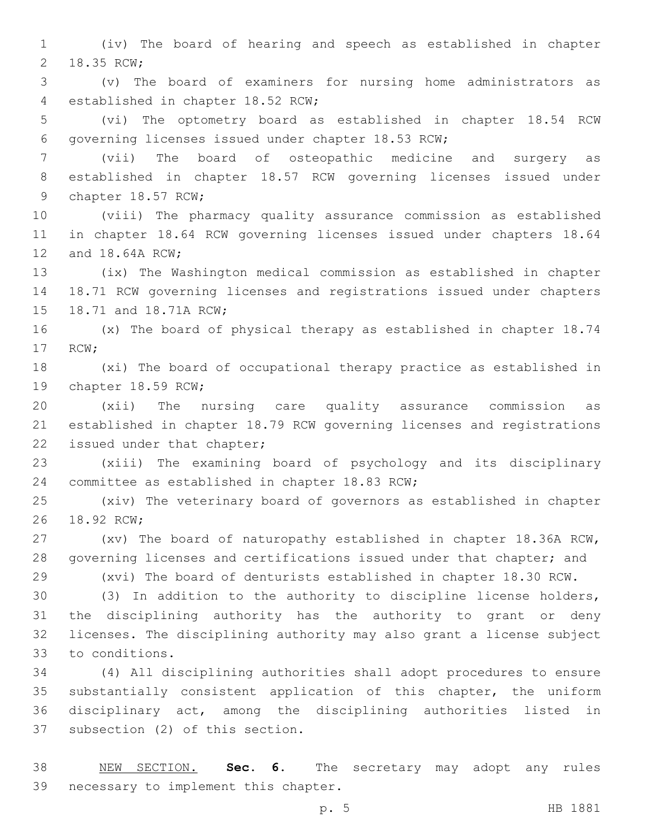(iv) The board of hearing and speech as established in chapter 2 18.35 RCW;

 (v) The board of examiners for nursing home administrators as 4 established in chapter 18.52 RCW;

 (vi) The optometry board as established in chapter 18.54 RCW 6 governing licenses issued under chapter 18.53 RCW;

 (vii) The board of osteopathic medicine and surgery as established in chapter 18.57 RCW governing licenses issued under 9 chapter 18.57 RCW;

 (viii) The pharmacy quality assurance commission as established in chapter 18.64 RCW governing licenses issued under chapters 18.64 12 and 18.64A RCW;

 (ix) The Washington medical commission as established in chapter 18.71 RCW governing licenses and registrations issued under chapters 15 18.71 and 18.71A RCW;

 (x) The board of physical therapy as established in chapter 18.74 17 RCW;

 (xi) The board of occupational therapy practice as established in 19 chapter 18.59 RCW;

 (xii) The nursing care quality assurance commission as established in chapter 18.79 RCW governing licenses and registrations 22 issued under that chapter;

 (xiii) The examining board of psychology and its disciplinary 24 committee as established in chapter 18.83 RCW;

 (xiv) The veterinary board of governors as established in chapter 26 18.92 RCW:

 (xv) The board of naturopathy established in chapter 18.36A RCW, governing licenses and certifications issued under that chapter; and

 (xvi) The board of denturists established in chapter 18.30 RCW. (3) In addition to the authority to discipline license holders,

 the disciplining authority has the authority to grant or deny licenses. The disciplining authority may also grant a license subject 33 to conditions.

 (4) All disciplining authorities shall adopt procedures to ensure substantially consistent application of this chapter, the uniform disciplinary act, among the disciplining authorities listed in 37 subsection (2) of this section.

 NEW SECTION. **Sec. 6.** The secretary may adopt any rules necessary to implement this chapter.